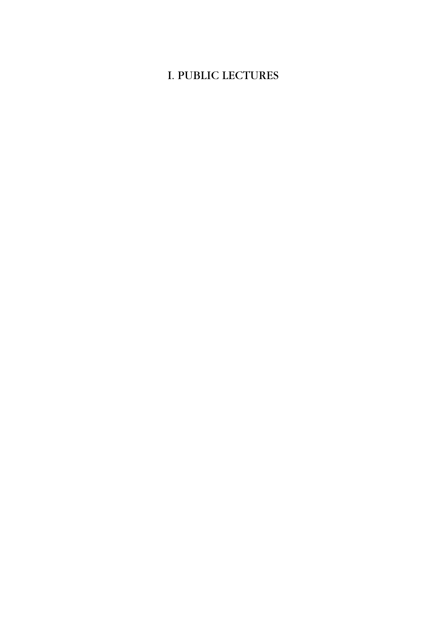## I. PUBLIC LECTURES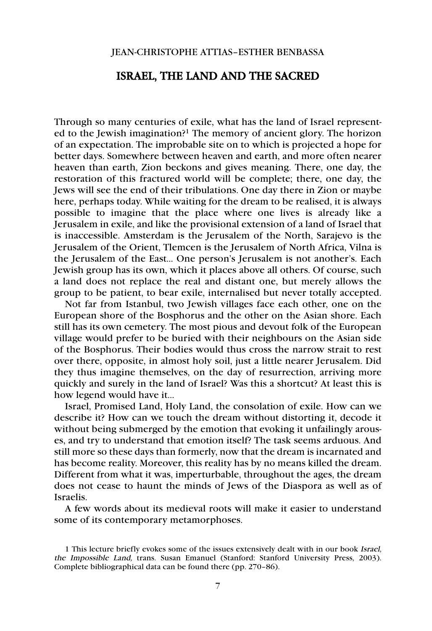## JEAN-CHRISTOPHE ATTIAS–ESTHER BENBASSA

## ISRAEL, THE LAND AND THE SACRED

Through so many centuries of exile, what has the land of Israel represented to the Jewish imagination?1 The memory of ancient glory. The horizon of an expectation. The improbable site on to which is projected a hope for better days. Somewhere between heaven and earth, and more often nearer heaven than earth, Zion beckons and gives meaning. There, one day, the restoration of this fractured world will be complete; there, one day, the Jews will see the end of their tribulations. One day there in Zion or maybe here, perhaps today. While waiting for the dream to be realised, it is always possible to imagine that the place where one lives is already like a Jerusalem in exile, and like the provisional extension of a land of Israel that is inaccessible. Amsterdam is the Jerusalem of the North, Sarajevo is the Jerusalem of the Orient, Tlemcen is the Jerusalem of North Africa, Vilna is the Jerusalem of the East… One person's Jerusalem is not another's. Each Jewish group has its own, which it places above all others. Of course, such a land does not replace the real and distant one, but merely allows the group to be patient, to bear exile, internalised but never totally accepted.

Not far from Istanbul, two Jewish villages face each other, one on the European shore of the Bosphorus and the other on the Asian shore. Each still has its own cemetery. The most pious and devout folk of the European village would prefer to be buried with their neighbours on the Asian side of the Bosphorus. Their bodies would thus cross the narrow strait to rest over there, opposite, in almost holy soil, just a little nearer Jerusalem. Did they thus imagine themselves, on the day of resurrection, arriving more quickly and surely in the land of Israel? Was this a shortcut? At least this is how legend would have it…

Israel, Promised Land, Holy Land, the consolation of exile. How can we describe it? How can we touch the dream without distorting it, decode it without being submerged by the emotion that evoking it unfailingly arouses, and try to understand that emotion itself? The task seems arduous. And still more so these days than formerly, now that the dream is incarnated and has become reality. Moreover, this reality has by no means killed the dream. Different from what it was, imperturbable, throughout the ages, the dream does not cease to haunt the minds of Jews of the Diaspora as well as of Israelis.

A few words about its medieval roots will make it easier to understand some of its contemporary metamorphoses.

<sup>1</sup> This lecture briefly evokes some of the issues extensively dealt with in our book Israel, the Impossible Land, trans. Susan Emanuel (Stanford: Stanford University Press, 2003). Complete bibliographical data can be found there (pp. 270–86).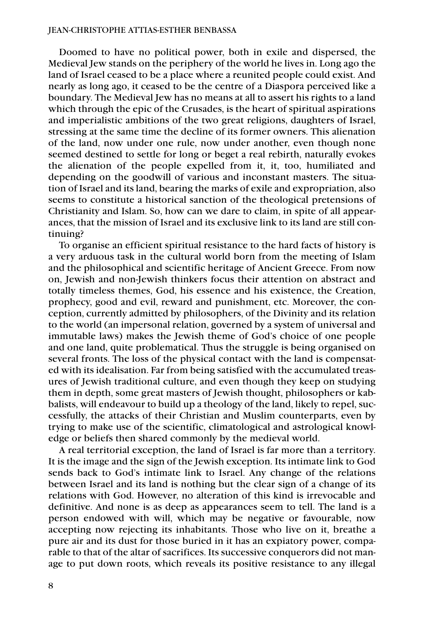Doomed to have no political power, both in exile and dispersed, the Medieval Jew stands on the periphery of the world he lives in. Long ago the land of Israel ceased to be a place where a reunited people could exist. And nearly as long ago, it ceased to be the centre of a Diaspora perceived like a boundary. The Medieval Jew has no means at all to assert his rights to a land which through the epic of the Crusades, is the heart of spiritual aspirations and imperialistic ambitions of the two great religions, daughters of Israel, stressing at the same time the decline of its former owners. This alienation of the land, now under one rule, now under another, even though none seemed destined to settle for long or beget a real rebirth, naturally evokes the alienation of the people expelled from it, it, too, humiliated and depending on the goodwill of various and inconstant masters. The situation of Israel and its land, bearing the marks of exile and expropriation, also seems to constitute a historical sanction of the theological pretensions of Christianity and Islam. So, how can we dare to claim, in spite of all appearances, that the mission of Israel and its exclusive link to its land are still continuing?

To organise an efficient spiritual resistance to the hard facts of history is a very arduous task in the cultural world born from the meeting of Islam and the philosophical and scientific heritage of Ancient Greece. From now on, Jewish and non-Jewish thinkers focus their attention on abstract and totally timeless themes, God, his essence and his existence, the Creation, prophecy, good and evil, reward and punishment, etc. Moreover, the conception, currently admitted by philosophers, of the Divinity and its relation to the world (an impersonal relation, governed by a system of universal and immutable laws) makes the Jewish theme of God's choice of one people and one land, quite problematical. Thus the struggle is being organised on several fronts. The loss of the physical contact with the land is compensated with its idealisation. Far from being satisfied with the accumulated treasures of Jewish traditional culture, and even though they keep on studying them in depth, some great masters of Jewish thought, philosophers or kabbalists, will endeavour to build up a theology of the land, likely to repel, successfully, the attacks of their Christian and Muslim counterparts, even by trying to make use of the scientific, climatological and astrological knowledge or beliefs then shared commonly by the medieval world.

A real territorial exception, the land of Israel is far more than a territory. It is the image and the sign of the Jewish exception. Its intimate link to God sends back to God's intimate link to Israel. Any change of the relations between Israel and its land is nothing but the clear sign of a change of its relations with God. However, no alteration of this kind is irrevocable and definitive. And none is as deep as appearances seem to tell. The land is a person endowed with will, which may be negative or favourable, now accepting now rejecting its inhabitants. Those who live on it, breathe a pure air and its dust for those buried in it has an expiatory power, comparable to that of the altar of sacrifices. Its successive conquerors did not manage to put down roots, which reveals its positive resistance to any illegal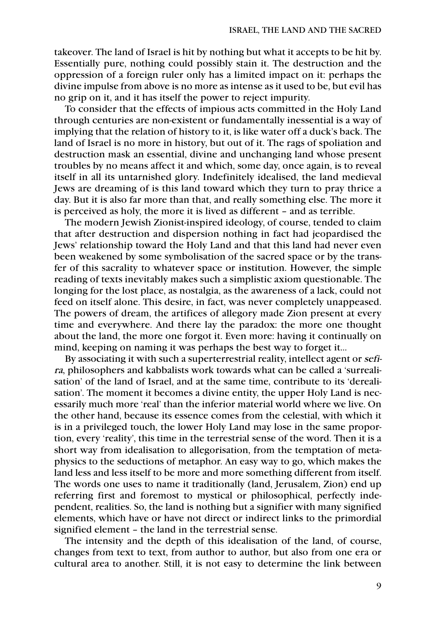takeover. The land of Israel is hit by nothing but what it accepts to be hit by. Essentially pure, nothing could possibly stain it. The destruction and the oppression of a foreign ruler only has a limited impact on it: perhaps the divine impulse from above is no more as intense as it used to be, but evil has no grip on it, and it has itself the power to reject impurity.

To consider that the effects of impious acts committed in the Holy Land through centuries are non-existent or fundamentally inessential is a way of implying that the relation of history to it, is like water off a duck's back. The land of Israel is no more in history, but out of it. The rags of spoliation and destruction mask an essential, divine and unchanging land whose present troubles by no means affect it and which, some day, once again, is to reveal itself in all its untarnished glory. Indefinitely idealised, the land medieval Jews are dreaming of is this land toward which they turn to pray thrice a day. But it is also far more than that, and really something else. The more it is perceived as holy, the more it is lived as different – and as terrible.

The modern Jewish Zionist-inspired ideology, of course, tended to claim that after destruction and dispersion nothing in fact had jeopardised the Jews' relationship toward the Holy Land and that this land had never even been weakened by some symbolisation of the sacred space or by the transfer of this sacrality to whatever space or institution. However, the simple reading of texts inevitably makes such a simplistic axiom questionable. The longing for the lost place, as nostalgia, as the awareness of a lack, could not feed on itself alone. This desire, in fact, was never completely unappeased. The powers of dream, the artifices of allegory made Zion present at every time and everywhere. And there lay the paradox: the more one thought about the land, the more one forgot it. Even more: having it continually on mind, keeping on naming it was perhaps the best way to forget it…

By associating it with such a superterrestrial reality, intellect agent or sefira, philosophers and kabbalists work towards what can be called a 'surrealisation' of the land of Israel, and at the same time, contribute to its 'derealisation'. The moment it becomes a divine entity, the upper Holy Land is necessarily much more 'real' than the inferior material world where we live. On the other hand, because its essence comes from the celestial, with which it is in a privileged touch, the lower Holy Land may lose in the same proportion, every 'reality', this time in the terrestrial sense of the word. Then it is a short way from idealisation to allegorisation, from the temptation of metaphysics to the seductions of metaphor. An easy way to go, which makes the land less and less itself to be more and more something different from itself. The words one uses to name it traditionally (land, Jerusalem, Zion) end up referring first and foremost to mystical or philosophical, perfectly independent, realities. So, the land is nothing but a signifier with many signified elements, which have or have not direct or indirect links to the primordial signified element – the land in the terrestrial sense.

The intensity and the depth of this idealisation of the land, of course, changes from text to text, from author to author, but also from one era or cultural area to another. Still, it is not easy to determine the link between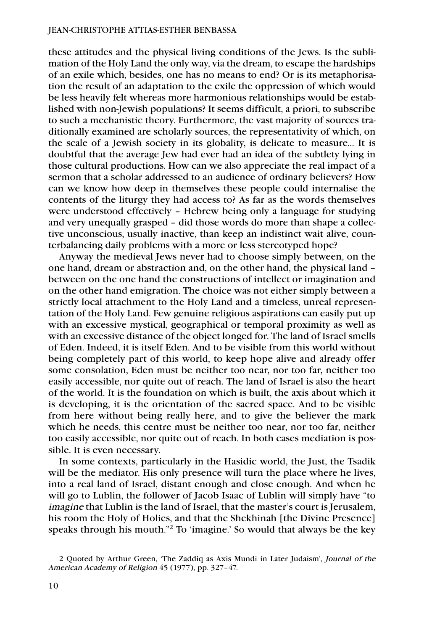these attitudes and the physical living conditions of the Jews. Is the sublimation of the Holy Land the only way, via the dream, to escape the hardships of an exile which, besides, one has no means to end? Or is its metaphorisation the result of an adaptation to the exile the oppression of which would be less heavily felt whereas more harmonious relationships would be established with non-Jewish populations? It seems difficult, a priori, to subscribe to such a mechanistic theory. Furthermore, the vast majority of sources traditionally examined are scholarly sources, the representativity of which, on the scale of a Jewish society in its globality, is delicate to measure… It is doubtful that the average Jew had ever had an idea of the subtlety lying in those cultural productions. How can we also appreciate the real impact of a sermon that a scholar addressed to an audience of ordinary believers? How can we know how deep in themselves these people could internalise the contents of the liturgy they had access to? As far as the words themselves were understood effectively – Hebrew being only a language for studying and very unequally grasped – did those words do more than shape a collective unconscious, usually inactive, than keep an indistinct wait alive, counterbalancing daily problems with a more or less stereotyped hope?

Anyway the medieval Jews never had to choose simply between, on the one hand, dream or abstraction and, on the other hand, the physical land – between on the one hand the constructions of intellect or imagination and on the other hand emigration. The choice was not either simply between a strictly local attachment to the Holy Land and a timeless, unreal representation of the Holy Land. Few genuine religious aspirations can easily put up with an excessive mystical, geographical or temporal proximity as well as with an excessive distance of the object longed for. The land of Israel smells of Eden. Indeed, it is itself Eden. And to be visible from this world without being completely part of this world, to keep hope alive and already offer some consolation, Eden must be neither too near, nor too far, neither too easily accessible, nor quite out of reach. The land of Israel is also the heart of the world. It is the foundation on which is built, the axis about which it is developing, it is the orientation of the sacred space. And to be visible from here without being really here, and to give the believer the mark which he needs, this centre must be neither too near, nor too far, neither too easily accessible, nor quite out of reach. In both cases mediation is possible. It is even necessary.

In some contexts, particularly in the Hasidic world, the Just, the Tsadik will be the mediator. His only presence will turn the place where he lives, into a real land of Israel, distant enough and close enough. And when he will go to Lublin, the follower of Jacob Isaac of Lublin will simply have "to imagine that Lublin is the land of Israel, that the master's court is Jerusalem, his room the Holy of Holies, and that the Shekhinah [the Divine Presence] speaks through his mouth."2 To 'imagine.' So would that always be the key

<sup>2</sup> Quoted by Arthur Green, 'The Zaddiq as Axis Mundi in Later Judaism', Journal of the American Academy of Religion 45 (1977), pp. 327–47.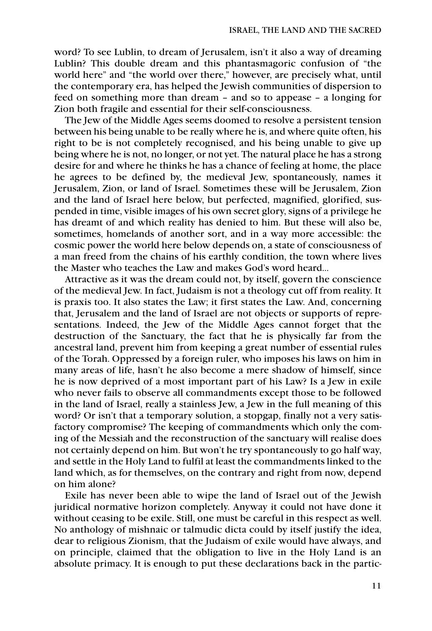word? To see Lublin, to dream of Jerusalem, isn't it also a way of dreaming Lublin? This double dream and this phantasmagoric confusion of "the world here" and "the world over there," however, are precisely what, until the contemporary era, has helped the Jewish communities of dispersion to feed on something more than dream – and so to appease – a longing for Zion both fragile and essential for their self-consciousness.

The Jew of the Middle Ages seems doomed to resolve a persistent tension between his being unable to be really where he is, and where quite often, his right to be is not completely recognised, and his being unable to give up being where he is not, no longer, or not yet. The natural place he has a strong desire for and where he thinks he has a chance of feeling at home, the place he agrees to be defined by, the medieval Jew, spontaneously, names it Jerusalem, Zion, or land of Israel. Sometimes these will be Jerusalem, Zion and the land of Israel here below, but perfected, magnified, glorified, suspended in time, visible images of his own secret glory, signs of a privilege he has dreamt of and which reality has denied to him. But these will also be, sometimes, homelands of another sort, and in a way more accessible: the cosmic power the world here below depends on, a state of consciousness of a man freed from the chains of his earthly condition, the town where lives the Master who teaches the Law and makes God's word heard…

Attractive as it was the dream could not, by itself, govern the conscience of the medieval Jew. In fact, Judaism is not a theology cut off from reality. It is praxis too. It also states the Law; it first states the Law. And, concerning that, Jerusalem and the land of Israel are not objects or supports of representations. Indeed, the Jew of the Middle Ages cannot forget that the destruction of the Sanctuary, the fact that he is physically far from the ancestral land, prevent him from keeping a great number of essential rules of the Torah. Oppressed by a foreign ruler, who imposes his laws on him in many areas of life, hasn't he also become a mere shadow of himself, since he is now deprived of a most important part of his Law? Is a Jew in exile who never fails to observe all commandments except those to be followed in the land of Israel, really a stainless Jew, a Jew in the full meaning of this word? Or isn't that a temporary solution, a stopgap, finally not a very satisfactory compromise? The keeping of commandments which only the coming of the Messiah and the reconstruction of the sanctuary will realise does not certainly depend on him. But won't he try spontaneously to go half way, and settle in the Holy Land to fulfil at least the commandments linked to the land which, as for themselves, on the contrary and right from now, depend on him alone?

Exile has never been able to wipe the land of Israel out of the Jewish juridical normative horizon completely. Anyway it could not have done it without ceasing to be exile. Still, one must be careful in this respect as well. No anthology of mishnaic or talmudic dicta could by itself justify the idea, dear to religious Zionism, that the Judaism of exile would have always, and on principle, claimed that the obligation to live in the Holy Land is an absolute primacy. It is enough to put these declarations back in the partic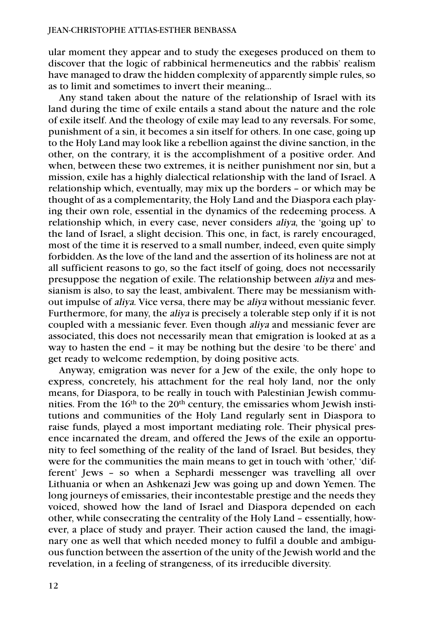ular moment they appear and to study the exegeses produced on them to discover that the logic of rabbinical hermeneutics and the rabbis' realism have managed to draw the hidden complexity of apparently simple rules, so as to limit and sometimes to invert their meaning…

Any stand taken about the nature of the relationship of Israel with its land during the time of exile entails a stand about the nature and the role of exile itself. And the theology of exile may lead to any reversals. For some, punishment of a sin, it becomes a sin itself for others. In one case, going up to the Holy Land may look like a rebellion against the divine sanction, in the other, on the contrary, it is the accomplishment of a positive order. And when, between these two extremes, it is neither punishment nor sin, but a mission, exile has a highly dialectical relationship with the land of Israel. A relationship which, eventually, may mix up the borders – or which may be thought of as a complementarity, the Holy Land and the Diaspora each playing their own role, essential in the dynamics of the redeeming process. A relationship which, in every case, never considers aliya, the 'going up' to the land of Israel, a slight decision. This one, in fact, is rarely encouraged, most of the time it is reserved to a small number, indeed, even quite simply forbidden. As the love of the land and the assertion of its holiness are not at all sufficient reasons to go, so the fact itself of going, does not necessarily presuppose the negation of exile. The relationship between aliya and messianism is also, to say the least, ambivalent. There may be messianism without impulse of aliya. Vice versa, there may be aliya without messianic fever. Furthermore, for many, the aliya is precisely a tolerable step only if it is not coupled with a messianic fever. Even though aliya and messianic fever are associated, this does not necessarily mean that emigration is looked at as a way to hasten the end – it may be nothing but the desire 'to be there' and get ready to welcome redemption, by doing positive acts.

Anyway, emigration was never for a Jew of the exile, the only hope to express, concretely, his attachment for the real holy land, nor the only means, for Diaspora, to be really in touch with Palestinian Jewish communities. From the  $16<sup>th</sup>$  to the  $20<sup>th</sup>$  century, the emissaries whom Jewish institutions and communities of the Holy Land regularly sent in Diaspora to raise funds, played a most important mediating role. Their physical presence incarnated the dream, and offered the Jews of the exile an opportunity to feel something of the reality of the land of Israel. But besides, they were for the communities the main means to get in touch with 'other,' 'different' Jews – so when a Sephardi messenger was travelling all over Lithuania or when an Ashkenazi Jew was going up and down Yemen. The long journeys of emissaries, their incontestable prestige and the needs they voiced, showed how the land of Israel and Diaspora depended on each other, while consecrating the centrality of the Holy Land – essentially, however, a place of study and prayer. Their action caused the land, the imaginary one as well that which needed money to fulfil a double and ambiguous function between the assertion of the unity of the Jewish world and the revelation, in a feeling of strangeness, of its irreducible diversity.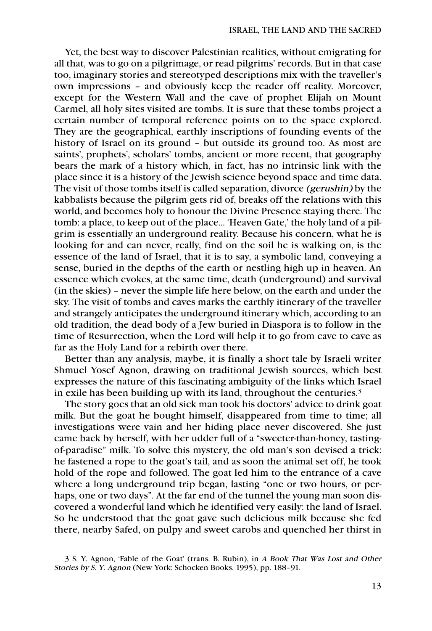Yet, the best way to discover Palestinian realities, without emigrating for all that, was to go on a pilgrimage, or read pilgrims' records. But in that case too, imaginary stories and stereotyped descriptions mix with the traveller's own impressions – and obviously keep the reader off reality. Moreover, except for the Western Wall and the cave of prophet Elijah on Mount Carmel, all holy sites visited are tombs. It is sure that these tombs project a certain number of temporal reference points on to the space explored. They are the geographical, earthly inscriptions of founding events of the history of Israel on its ground – but outside its ground too. As most are saints', prophets', scholars' tombs, ancient or more recent, that geography bears the mark of a history which, in fact, has no intrinsic link with the place since it is a history of the Jewish science beyond space and time data. The visit of those tombs itself is called separation, divorce (gerushin) by the kabbalists because the pilgrim gets rid of, breaks off the relations with this world, and becomes holy to honour the Divine Presence staying there. The tomb: a place, to keep out of the place… 'Heaven Gate,' the holy land of a pilgrim is essentially an underground reality. Because his concern, what he is looking for and can never, really, find on the soil he is walking on, is the essence of the land of Israel, that it is to say, a symbolic land, conveying a sense, buried in the depths of the earth or nestling high up in heaven. An essence which evokes, at the same time, death (underground) and survival (in the skies) – never the simple life here below, on the earth and under the sky. The visit of tombs and caves marks the earthly itinerary of the traveller and strangely anticipates the underground itinerary which, according to an old tradition, the dead body of a Jew buried in Diaspora is to follow in the time of Resurrection, when the Lord will help it to go from cave to cave as far as the Holy Land for a rebirth over there.

Better than any analysis, maybe, it is finally a short tale by Israeli writer Shmuel Yosef Agnon, drawing on traditional Jewish sources, which best expresses the nature of this fascinating ambiguity of the links which Israel in exile has been building up with its land, throughout the centuries.<sup>3</sup>

The story goes that an old sick man took his doctors' advice to drink goat milk. But the goat he bought himself, disappeared from time to time; all investigations were vain and her hiding place never discovered. She just came back by herself, with her udder full of a "sweeter-than-honey, tastingof-paradise" milk. To solve this mystery, the old man's son devised a trick: he fastened a rope to the goat's tail, and as soon the animal set off, he took hold of the rope and followed. The goat led him to the entrance of a cave where a long underground trip began, lasting "one or two hours, or perhaps, one or two days". At the far end of the tunnel the young man soon discovered a wonderful land which he identified very easily: the land of Israel. So he understood that the goat gave such delicious milk because she fed there, nearby Safed, on pulpy and sweet carobs and quenched her thirst in

<sup>3</sup> S. Y. Agnon, 'Fable of the Goat' (trans. B. Rubin), in A Book That Was Lost and Other Stories by S. Y. Agnon (New York: Schocken Books, 1995), pp. 188–91.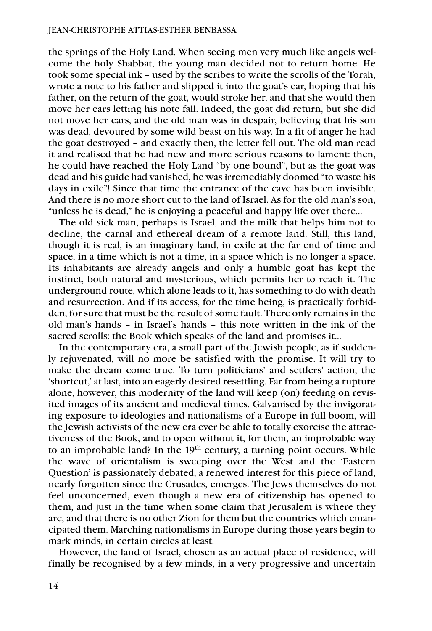the springs of the Holy Land. When seeing men very much like angels welcome the holy Shabbat, the young man decided not to return home. He took some special ink – used by the scribes to write the scrolls of the Torah, wrote a note to his father and slipped it into the goat's ear, hoping that his father, on the return of the goat, would stroke her, and that she would then move her ears letting his note fall. Indeed, the goat did return, but she did not move her ears, and the old man was in despair, believing that his son was dead, devoured by some wild beast on his way. In a fit of anger he had the goat destroyed – and exactly then, the letter fell out. The old man read it and realised that he had new and more serious reasons to lament: then, he could have reached the Holy Land "by one bound", but as the goat was dead and his guide had vanished, he was irremediably doomed "to waste his days in exile"! Since that time the entrance of the cave has been invisible. And there is no more short cut to the land of Israel. As for the old man's son, "unless he is dead," he is enjoying a peaceful and happy life over there…

The old sick man, perhaps is Israel, and the milk that helps him not to decline, the carnal and ethereal dream of a remote land. Still, this land, though it is real, is an imaginary land, in exile at the far end of time and space, in a time which is not a time, in a space which is no longer a space. Its inhabitants are already angels and only a humble goat has kept the instinct, both natural and mysterious, which permits her to reach it. The underground route, which alone leads to it, has something to do with death and resurrection. And if its access, for the time being, is practically forbidden, for sure that must be the result of some fault. There only remains in the old man's hands – in Israel's hands – this note written in the ink of the sacred scrolls: the Book which speaks of the land and promises it…

In the contemporary era, a small part of the Jewish people, as if suddenly rejuvenated, will no more be satisfied with the promise. It will try to make the dream come true. To turn politicians' and settlers' action, the 'shortcut,' at last, into an eagerly desired resettling. Far from being a rupture alone, however, this modernity of the land will keep (on) feeding on revisited images of its ancient and medieval times. Galvanised by the invigorating exposure to ideologies and nationalisms of a Europe in full boom, will the Jewish activists of the new era ever be able to totally exorcise the attractiveness of the Book, and to open without it, for them, an improbable way to an improbable land? In the 19<sup>th</sup> century, a turning point occurs. While the wave of orientalism is sweeping over the West and the 'Eastern Question' is passionately debated, a renewed interest for this piece of land, nearly forgotten since the Crusades, emerges. The Jews themselves do not feel unconcerned, even though a new era of citizenship has opened to them, and just in the time when some claim that Jerusalem is where they are, and that there is no other Zion for them but the countries which emancipated them. Marching nationalisms in Europe during those years begin to mark minds, in certain circles at least.

However, the land of Israel, chosen as an actual place of residence, will finally be recognised by a few minds, in a very progressive and uncertain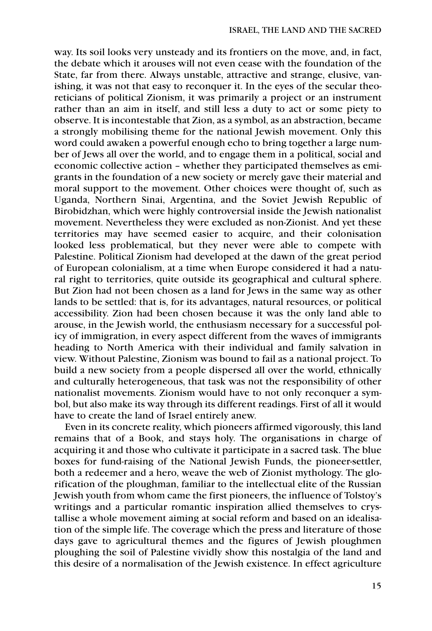way. Its soil looks very unsteady and its frontiers on the move, and, in fact, the debate which it arouses will not even cease with the foundation of the State, far from there. Always unstable, attractive and strange, elusive, vanishing, it was not that easy to reconquer it. In the eyes of the secular theoreticians of political Zionism, it was primarily a project or an instrument rather than an aim in itself, and still less a duty to act or some piety to observe. It is incontestable that Zion, as a symbol, as an abstraction, became a strongly mobilising theme for the national Jewish movement. Only this word could awaken a powerful enough echo to bring together a large number of Jews all over the world, and to engage them in a political, social and economic collective action – whether they participated themselves as emigrants in the foundation of a new society or merely gave their material and moral support to the movement. Other choices were thought of, such as Uganda, Northern Sinai, Argentina, and the Soviet Jewish Republic of Birobidzhan, which were highly controversial inside the Jewish nationalist movement. Nevertheless they were excluded as non-Zionist. And yet these territories may have seemed easier to acquire, and their colonisation looked less problematical, but they never were able to compete with Palestine. Political Zionism had developed at the dawn of the great period of European colonialism, at a time when Europe considered it had a natural right to territories, quite outside its geographical and cultural sphere. But Zion had not been chosen as a land for Jews in the same way as other lands to be settled: that is, for its advantages, natural resources, or political accessibility. Zion had been chosen because it was the only land able to arouse, in the Jewish world, the enthusiasm necessary for a successful policy of immigration, in every aspect different from the waves of immigrants heading to North America with their individual and family salvation in view. Without Palestine, Zionism was bound to fail as a national project. To build a new society from a people dispersed all over the world, ethnically and culturally heterogeneous, that task was not the responsibility of other nationalist movements. Zionism would have to not only reconquer a symbol, but also make its way through its different readings. First of all it would have to create the land of Israel entirely anew.

Even in its concrete reality, which pioneers affirmed vigorously, this land remains that of a Book, and stays holy. The organisations in charge of acquiring it and those who cultivate it participate in a sacred task. The blue boxes for fund-raising of the National Jewish Funds, the pioneer-settler, both a redeemer and a hero, weave the web of Zionist mythology. The glorification of the ploughman, familiar to the intellectual elite of the Russian Jewish youth from whom came the first pioneers, the influence of Tolstoy's writings and a particular romantic inspiration allied themselves to crystallise a whole movement aiming at social reform and based on an idealisation of the simple life. The coverage which the press and literature of those days gave to agricultural themes and the figures of Jewish ploughmen ploughing the soil of Palestine vividly show this nostalgia of the land and this desire of a normalisation of the Jewish existence. In effect agriculture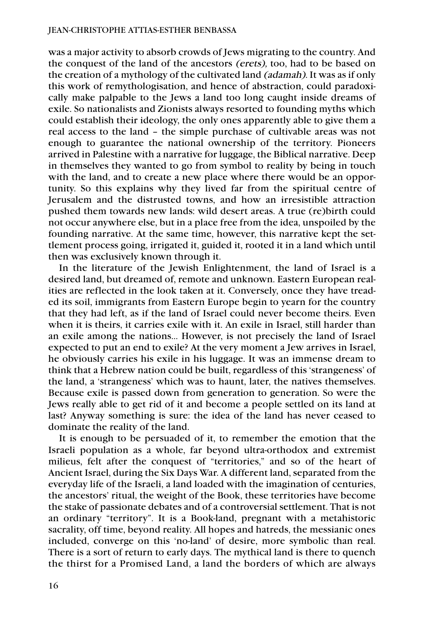was a major activity to absorb crowds of Jews migrating to the country. And the conquest of the land of the ancestors (erets), too, had to be based on the creation of a mythology of the cultivated land (adamah). It was as if only this work of remythologisation, and hence of abstraction, could paradoxically make palpable to the Jews a land too long caught inside dreams of exile. So nationalists and Zionists always resorted to founding myths which could establish their ideology, the only ones apparently able to give them a real access to the land – the simple purchase of cultivable areas was not enough to guarantee the national ownership of the territory. Pioneers arrived in Palestine with a narrative for luggage, the Biblical narrative. Deep in themselves they wanted to go from symbol to reality by being in touch with the land, and to create a new place where there would be an opportunity. So this explains why they lived far from the spiritual centre of Jerusalem and the distrusted towns, and how an irresistible attraction pushed them towards new lands: wild desert areas. A true (re)birth could not occur anywhere else, but in a place free from the idea, unspoiled by the founding narrative. At the same time, however, this narrative kept the settlement process going, irrigated it, guided it, rooted it in a land which until then was exclusively known through it.

In the literature of the Jewish Enlightenment, the land of Israel is a desired land, but dreamed of, remote and unknown. Eastern European realities are reflected in the look taken at it. Conversely, once they have treaded its soil, immigrants from Eastern Europe begin to yearn for the country that they had left, as if the land of Israel could never become theirs. Even when it is theirs, it carries exile with it. An exile in Israel, still harder than an exile among the nations… However, is not precisely the land of Israel expected to put an end to exile? At the very moment a Jew arrives in Israel, he obviously carries his exile in his luggage. It was an immense dream to think that a Hebrew nation could be built, regardless of this 'strangeness' of the land, a 'strangeness' which was to haunt, later, the natives themselves. Because exile is passed down from generation to generation. So were the Jews really able to get rid of it and become a people settled on its land at last? Anyway something is sure: the idea of the land has never ceased to dominate the reality of the land.

It is enough to be persuaded of it, to remember the emotion that the Israeli population as a whole, far beyond ultra-orthodox and extremist milieus, felt after the conquest of "territories," and so of the heart of Ancient Israel, during the Six Days War. A different land, separated from the everyday life of the Israeli, a land loaded with the imagination of centuries, the ancestors' ritual, the weight of the Book, these territories have become the stake of passionate debates and of a controversial settlement. That is not an ordinary "territory". It is a Book-land, pregnant with a metahistoric sacrality, off time, beyond reality. All hopes and hatreds, the messianic ones included, converge on this 'no-land' of desire, more symbolic than real. There is a sort of return to early days. The mythical land is there to quench the thirst for a Promised Land, a land the borders of which are always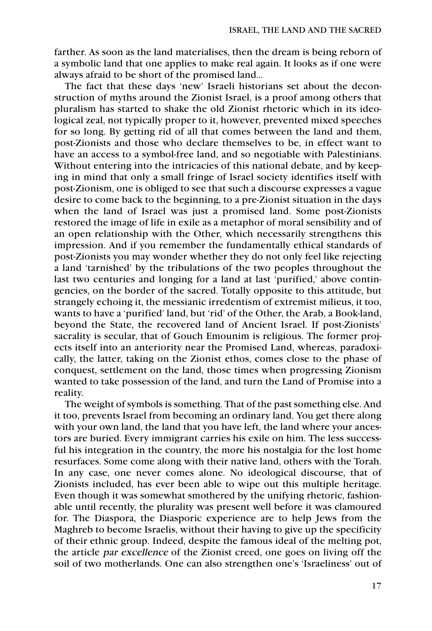farther. As soon as the land materialises, then the dream is being reborn of a symbolic land that one applies to make real again. It looks as if one were always afraid to be short of the promised land…

The fact that these days 'new' Israeli historians set about the deconstruction of myths around the Zionist Israel, is a proof among others that pluralism has started to shake the old Zionist rhetoric which in its ideological zeal, not typically proper to it, however, prevented mixed speeches for so long. By getting rid of all that comes between the land and them, post-Zionists and those who declare themselves to be, in effect want to have an access to a symbol-free land, and so negotiable with Palestinians. Without entering into the intricacies of this national debate, and by keeping in mind that only a small fringe of Israel society identifies itself with post-Zionism, one is obliged to see that such a discourse expresses a vague desire to come back to the beginning, to a pre-Zionist situation in the days when the land of Israel was just a promised land. Some post-Zionists restored the image of life in exile as a metaphor of moral sensibility and of an open relationship with the Other, which necessarily strengthens this impression. And if you remember the fundamentally ethical standards of post-Zionists you may wonder whether they do not only feel like rejecting a land 'tarnished' by the tribulations of the two peoples throughout the last two centuries and longing for a land at last 'purified,' above contingencies, on the border of the sacred. Totally opposite to this attitude, but strangely echoing it, the messianic irredentism of extremist milieus, it too, wants to have a 'purified' land, but 'rid' of the Other, the Arab, a Book-land, beyond the State, the recovered land of Ancient Israel. If post-Zionists' sacrality is secular, that of Gouch Emounim is religious. The former projects itself into an anteriority near the Promised Land, whereas, paradoxically, the latter, taking on the Zionist ethos, comes close to the phase of conquest, settlement on the land, those times when progressing Zionism wanted to take possession of the land, and turn the Land of Promise into a reality.

The weight of symbols is something. That of the past something else. And it too, prevents Israel from becoming an ordinary land. You get there along with your own land, the land that you have left, the land where your ancestors are buried. Every immigrant carries his exile on him. The less successful his integration in the country, the more his nostalgia for the lost home resurfaces. Some come along with their native land, others with the Torah. In any case, one never comes alone. No ideological discourse, that of Zionists included, has ever been able to wipe out this multiple heritage. Even though it was somewhat smothered by the unifying rhetoric, fashionable until recently, the plurality was present well before it was clamoured for. The Diaspora, the Diasporic experience are to help Jews from the Maghreb to become Israelis, without their having to give up the specificity of their ethnic group. Indeed, despite the famous ideal of the melting pot, the article par excellence of the Zionist creed, one goes on living off the soil of two motherlands. One can also strengthen one's 'Israeliness' out of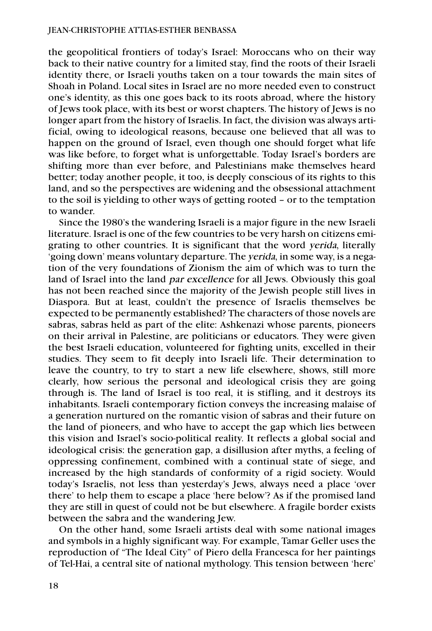the geopolitical frontiers of today's Israel: Moroccans who on their way back to their native country for a limited stay, find the roots of their Israeli identity there, or Israeli youths taken on a tour towards the main sites of Shoah in Poland. Local sites in Israel are no more needed even to construct one's identity, as this one goes back to its roots abroad, where the history of Jews took place, with its best or worst chapters. The history of Jews is no longer apart from the history of Israelis. In fact, the division was always artificial, owing to ideological reasons, because one believed that all was to happen on the ground of Israel, even though one should forget what life was like before, to forget what is unforgettable. Today Israel's borders are shifting more than ever before, and Palestinians make themselves heard better; today another people, it too, is deeply conscious of its rights to this land, and so the perspectives are widening and the obsessional attachment to the soil is yielding to other ways of getting rooted – or to the temptation to wander.

Since the 1980's the wandering Israeli is a major figure in the new Israeli literature. Israel is one of the few countries to be very harsh on citizens emigrating to other countries. It is significant that the word yerida, literally 'going down' means voluntary departure. The yerida, in some way, is a negation of the very foundations of Zionism the aim of which was to turn the land of Israel into the land par excellence for all Jews. Obviously this goal has not been reached since the majority of the Jewish people still lives in Diaspora. But at least, couldn't the presence of Israelis themselves be expected to be permanently established? The characters of those novels are sabras, sabras held as part of the elite: Ashkenazi whose parents, pioneers on their arrival in Palestine, are politicians or educators. They were given the best Israeli education, volunteered for fighting units, excelled in their studies. They seem to fit deeply into Israeli life. Their determination to leave the country, to try to start a new life elsewhere, shows, still more clearly, how serious the personal and ideological crisis they are going through is. The land of Israel is too real, it is stifling, and it destroys its inhabitants. Israeli contemporary fiction conveys the increasing malaise of a generation nurtured on the romantic vision of sabras and their future on the land of pioneers, and who have to accept the gap which lies between this vision and Israel's socio-political reality. It reflects a global social and ideological crisis: the generation gap, a disillusion after myths, a feeling of oppressing confinement, combined with a continual state of siege, and increased by the high standards of conformity of a rigid society. Would today's Israelis, not less than yesterday's Jews, always need a place 'over there' to help them to escape a place 'here below'? As if the promised land they are still in quest of could not be but elsewhere. A fragile border exists between the sabra and the wandering Jew.

On the other hand, some Israeli artists deal with some national images and symbols in a highly significant way. For example, Tamar Geller uses the reproduction of "The Ideal City" of Piero della Francesca for her paintings of Tel-Hai, a central site of national mythology. This tension between 'here'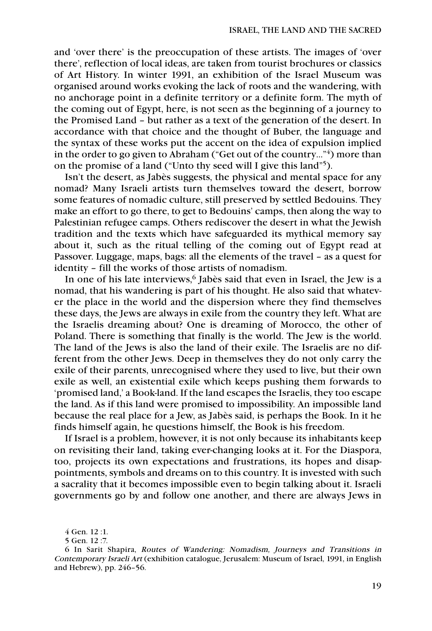and 'over there' is the preoccupation of these artists. The images of 'over there', reflection of local ideas, are taken from tourist brochures or classics of Art History. In winter 1991, an exhibition of the Israel Museum was organised around works evoking the lack of roots and the wandering, with no anchorage point in a definite territory or a definite form. The myth of the coming out of Egypt, here, is not seen as the beginning of a journey to the Promised Land – but rather as a text of the generation of the desert. In accordance with that choice and the thought of Buber, the language and the syntax of these works put the accent on the idea of expulsion implied in the order to go given to Abraham ("Get out of the country…"4) more than on the promise of a land ("Unto thy seed will I give this land"5).

Isn't the desert, as Jabès suggests, the physical and mental space for any nomad? Many Israeli artists turn themselves toward the desert, borrow some features of nomadic culture, still preserved by settled Bedouins. They make an effort to go there, to get to Bedouins' camps, then along the way to Palestinian refugee camps. Others rediscover the desert in what the Jewish tradition and the texts which have safeguarded its mythical memory say about it, such as the ritual telling of the coming out of Egypt read at Passover. Luggage, maps, bags: all the elements of the travel – as a quest for identity – fill the works of those artists of nomadism.

In one of his late interviews,<sup>6</sup> Jabès said that even in Israel, the Jew is a nomad, that his wandering is part of his thought. He also said that whatever the place in the world and the dispersion where they find themselves these days, the Jews are always in exile from the country they left. What are the Israelis dreaming about? One is dreaming of Morocco, the other of Poland. There is something that finally is the world. The Jew is the world. The land of the Jews is also the land of their exile. The Israelis are no different from the other Jews. Deep in themselves they do not only carry the exile of their parents, unrecognised where they used to live, but their own exile as well, an existential exile which keeps pushing them forwards to 'promised land,' a Book-land. If the land escapes the Israelis, they too escape the land. As if this land were promised to impossibility. An impossible land because the real place for a Jew, as Jabès said, is perhaps the Book. In it he finds himself again, he questions himself, the Book is his freedom.

If Israel is a problem, however, it is not only because its inhabitants keep on revisiting their land, taking ever-changing looks at it. For the Diaspora, too, projects its own expectations and frustrations, its hopes and disappointments, symbols and dreams on to this country. It is invested with such a sacrality that it becomes impossible even to begin talking about it. Israeli governments go by and follow one another, and there are always Jews in

<sup>4</sup> Gen. 12 :1.

<sup>5</sup> Gen. 12 :7.

<sup>6</sup> In Sarit Shapira, Routes of Wandering: Nomadism, Journeys and Transitions in Contemporary Israeli Art (exhibition catalogue, Jerusalem: Museum of Israel, 1991, in English and Hebrew), pp. 246–56.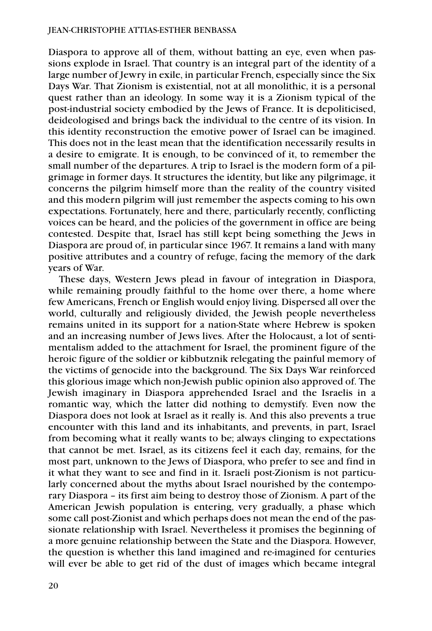Diaspora to approve all of them, without batting an eye, even when passions explode in Israel. That country is an integral part of the identity of a large number of Jewry in exile, in particular French, especially since the Six Days War. That Zionism is existential, not at all monolithic, it is a personal quest rather than an ideology. In some way it is a Zionism typical of the post-industrial society embodied by the Jews of France. It is depoliticised, deideologised and brings back the individual to the centre of its vision. In this identity reconstruction the emotive power of Israel can be imagined. This does not in the least mean that the identification necessarily results in a desire to emigrate. It is enough, to be convinced of it, to remember the small number of the departures. A trip to Israel is the modern form of a pilgrimage in former days. It structures the identity, but like any pilgrimage, it concerns the pilgrim himself more than the reality of the country visited and this modern pilgrim will just remember the aspects coming to his own expectations. Fortunately, here and there, particularly recently, conflicting voices can be heard, and the policies of the government in office are being contested. Despite that, Israel has still kept being something the Jews in Diaspora are proud of, in particular since 1967. It remains a land with many positive attributes and a country of refuge, facing the memory of the dark years of War.

These days, Western Jews plead in favour of integration in Diaspora, while remaining proudly faithful to the home over there, a home where few Americans, French or English would enjoy living. Dispersed all over the world, culturally and religiously divided, the Jewish people nevertheless remains united in its support for a nation-State where Hebrew is spoken and an increasing number of Jews lives. After the Holocaust, a lot of sentimentalism added to the attachment for Israel, the prominent figure of the heroic figure of the soldier or kibbutznik relegating the painful memory of the victims of genocide into the background. The Six Days War reinforced this glorious image which non-Jewish public opinion also approved of. The Jewish imaginary in Diaspora apprehended Israel and the Israelis in a romantic way, which the latter did nothing to demystify. Even now the Diaspora does not look at Israel as it really is. And this also prevents a true encounter with this land and its inhabitants, and prevents, in part, Israel from becoming what it really wants to be; always clinging to expectations that cannot be met. Israel, as its citizens feel it each day, remains, for the most part, unknown to the Jews of Diaspora, who prefer to see and find in it what they want to see and find in it. Israeli post-Zionism is not particularly concerned about the myths about Israel nourished by the contemporary Diaspora – its first aim being to destroy those of Zionism. A part of the American Jewish population is entering, very gradually, a phase which some call post-Zionist and which perhaps does not mean the end of the passionate relationship with Israel. Nevertheless it promises the beginning of a more genuine relationship between the State and the Diaspora. However, the question is whether this land imagined and re-imagined for centuries will ever be able to get rid of the dust of images which became integral